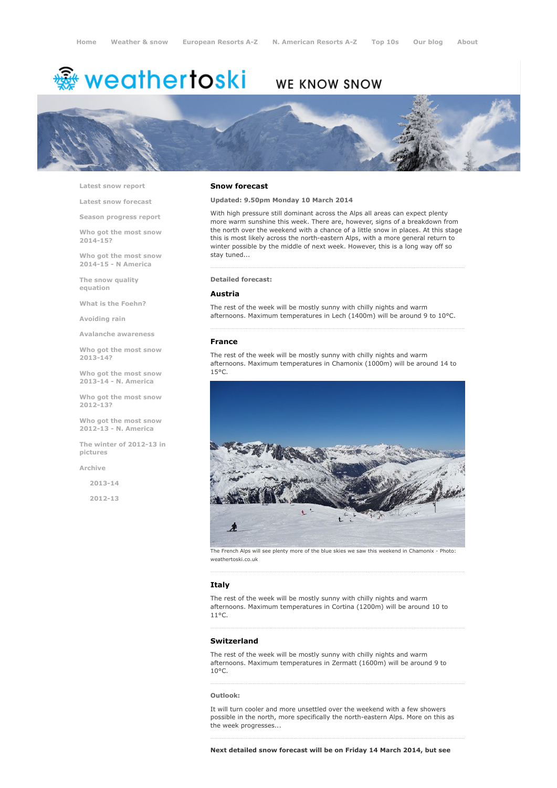# <sup>霧</sup> weathertoski

# WE KNOW SNOW



Latest snow [report](http://www.weathertoski.co.uk/weather-snow/latest-snow-report/)

Latest snow [forecast](http://www.weathertoski.co.uk/weather-snow/latest-snow-forecast/)

Season [progress](http://www.weathertoski.co.uk/weather-snow/season-progress-report/) report

Who got the most snow 2014-15?

Who got the most snow 2014-15 - N America

The snow quality [equation](http://www.weathertoski.co.uk/weather-snow/the-snow-quality-equation/)

What is the [Foehn?](http://www.weathertoski.co.uk/weather-snow/what-is-the-foehn/)

[Avoiding](http://www.weathertoski.co.uk/weather-snow/avoiding-rain/) rain

Avalanche [awareness](http://www.weathertoski.co.uk/weather-snow/avalanche-awareness/)

Who got the most snow 2013-14?

Who got the most snow 2013-14 - N. America

Who got the most snow 2012-13?

Who got the most snow 2012-13 - N. America

The winter of 2012-13 in pictures

[Archive](http://www.weathertoski.co.uk/weather-snow/archive/)

2013-14

2012-13

#### Snow forecast

### Updated: 9.50pm Monday 10 March 2014

With high pressure still dominant across the Alps all areas can expect plenty more warm sunshine this week. There are, however, signs of a breakdown from the north over the weekend with a chance of a little snow in places. At this stage this is most likely across the north-eastern Alps, with a more general return to winter possible by the middle of next week. However, this is a long way off so stay tuned...

#### Detailed forecast:

## Austria

The rest of the week will be mostly sunny with chilly nights and warm afternoons. Maximum temperatures in Lech (1400m) will be around 9 to 10°C.

#### France

The rest of the week will be mostly sunny with chilly nights and warm afternoons. Maximum temperatures in Chamonix (1000m) will be around 14 to 15°C.



The French Alps will see plenty more of the blue skies we saw this weekend in Chamonix - Photo: weathertoski.co.uk

# **Italy**

The rest of the week will be mostly sunny with chilly nights and warm afternoons. Maximum temperatures in Cortina (1200m) will be around 10 to 11°C.

# Switzerland

The rest of the week will be mostly sunny with chilly nights and warm afternoons. Maximum temperatures in Zermatt (1600m) will be around 9 to 10°C.

#### Outlook:

It will turn cooler and more unsettled over the weekend with a few showers possible in the north, more specifically the north-eastern Alps. More on this as the week progresses...